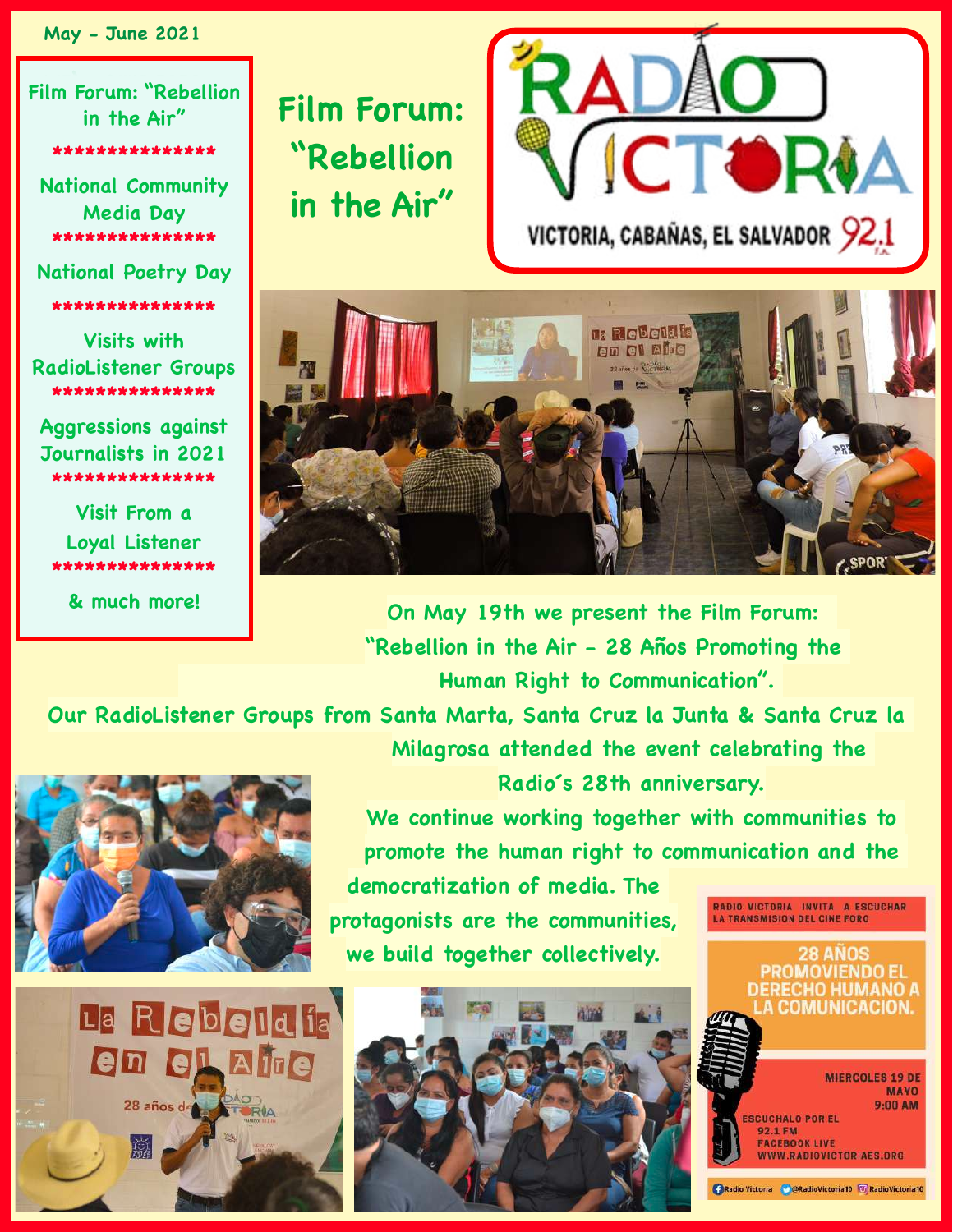May - June 2021

Film Forum: "Rebellion in the Air"

\*\*\*\*\*\*\*\*\*\*\*\*\*\*\*

**National Community** Media Day \*\*\*\*\*\*\*\*\*\*\*\*\*\*\*

**National Poetry Day** 

**Visits with RadioListener Groups** \*\*\*\*\*\*\*\*\*\*\*\*\*\*\*

**Aggressions against Journalists in 2021** \*\*\*\*\*\*\*\*\*\*\*\*\*\*\*\*

Visit From a **Loyal Listener** 

& much more!

**Film Forum:** "Rebellion in the Air"





On May 19th we present the Film Forum: "Rebellion in the Air - 28 Años Promoting the Human Right to Communication".

Our RadioListener Groups from Santa Marta, Santa Cruz la Junta & Santa Cruz la





Milagrosa attended the event celebrating the Radio's 28th anniversary.

We continue working together with communities to promote the human right to communication and the

democratization of media. The protagonists are the communities, we build together collectively.



**MIERCOLES 19 DE MAYO** 

9:00 AM **ESCUCHALO POR EL** 

**FACEBOOK LIVE WWW.RADIOVICTORIAES.ORG** 

92.1 FM

RADIO VICTORIA INVITA A ESCUCHAR<br>LA TRANSMISION DEL CINE FORO

**28 ANOS PROMOVIENDO EL DERECHO HUMANO A LA COMUNICACION.** 

**ORadio Victoria CORadio Victoria 10** CORadio Victoria 10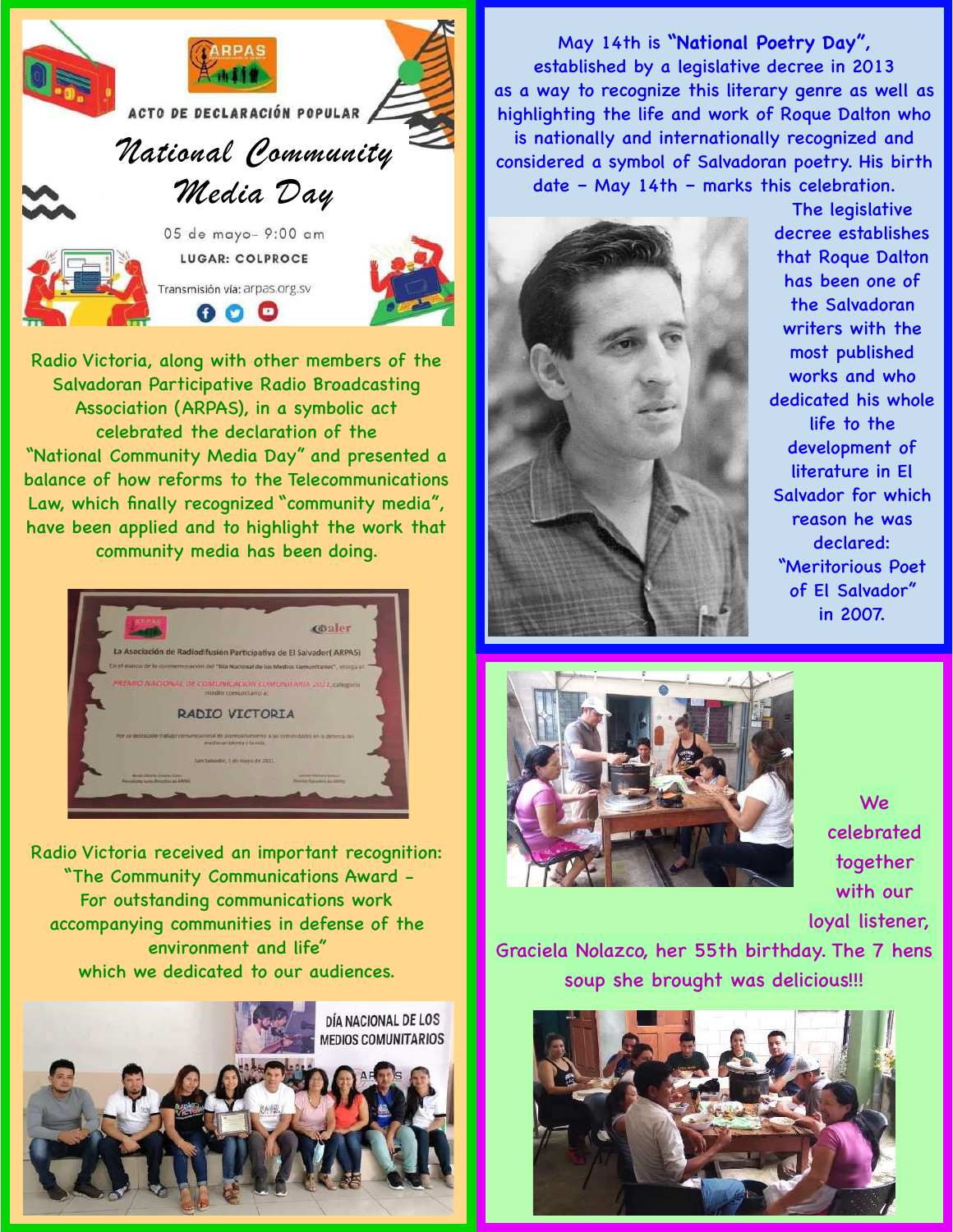



**LUGAR: COLPROCE** Transmisión vía: arpas.org.sv 0 O O



Radio Victoria, along with other members of the Salvadoran Participative Radio Broadcasting Association (ARPAS), in a symbolic act celebrated the declaration of the "National Community Media Day" and presented a balance of how reforms to the Telecommunications Law, which finally recognized "community media", have been applied and to highlight the work that community media has been doing.



Radio Victoria received an important recognition: "The Community Communications Award - For outstanding communications work accompanying communities in defense of the environment and life" which we dedicated to our audiences.



May 14th is **"National Poetry Day"**, established by a legislative decree in 2013 as a way to recognize this literary genre as well as highlighting the life and work of Roque Dalton who is nationally and internationally recognized and considered a symbol of Salvadoran poetry. His birth date – May 14th – marks this celebration.



The legislative decree establishes that Roque Dalton has been one of the Salvadoran writers with the most published works and who dedicated his whole life to the development of literature in El Salvador for which reason he was declared: "Meritorious Poet of El Salvador" in 2007.



We celebrated together with our loyal listener,

Graciela Nolazco, her 55th birthday. The 7 hens soup she brought was delicious!!!

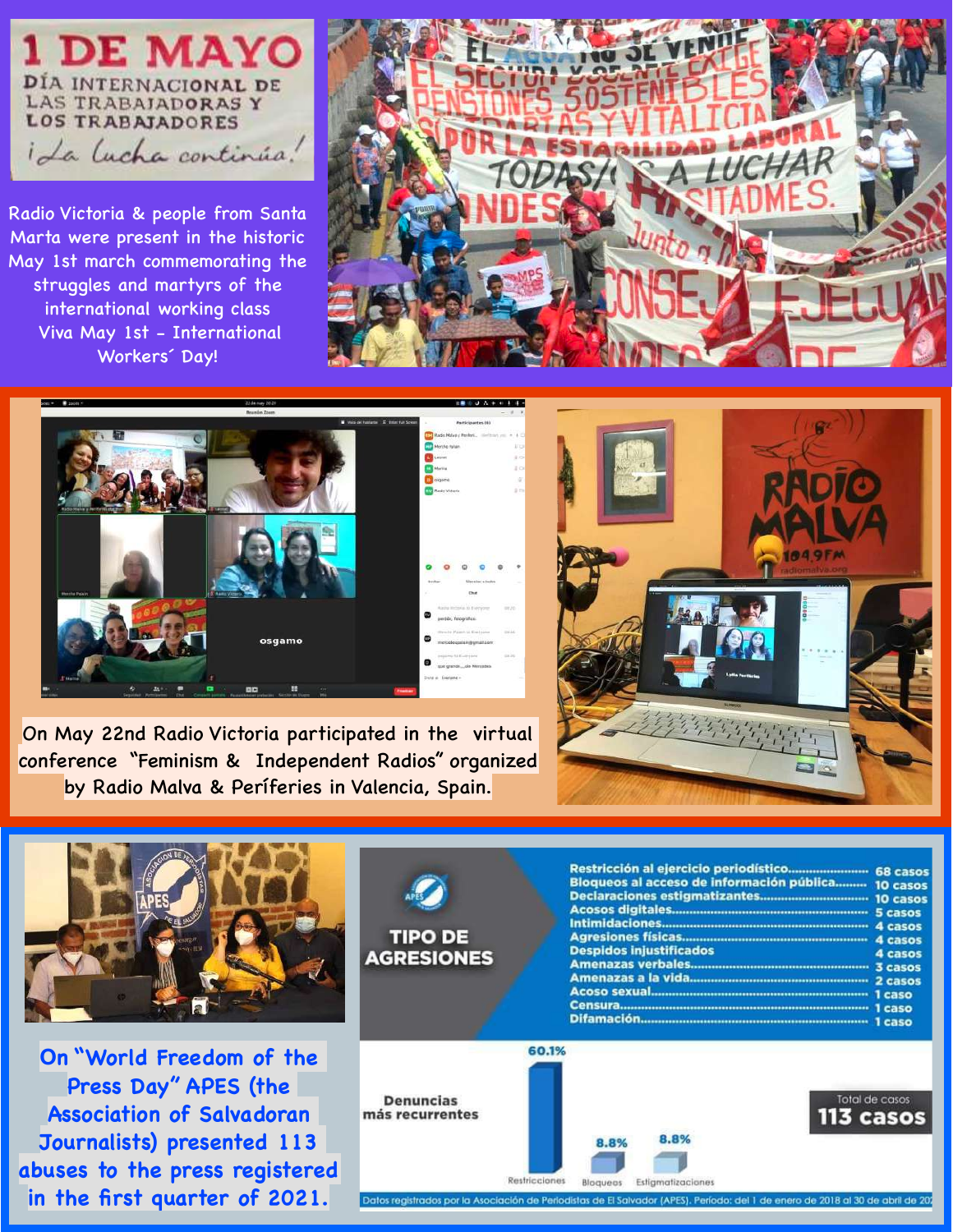

Radio Victoria & people from Santa Marta were present in the historic May 1st march commemorating the struggles and martyrs of the international working class Viva May 1st - International Workers´ Day!





On May 22nd Radio Victoria participated in the virtual conference "Feminism & Independent Radios" organized by Radio Malva & Períferies in Valencia, Spain.



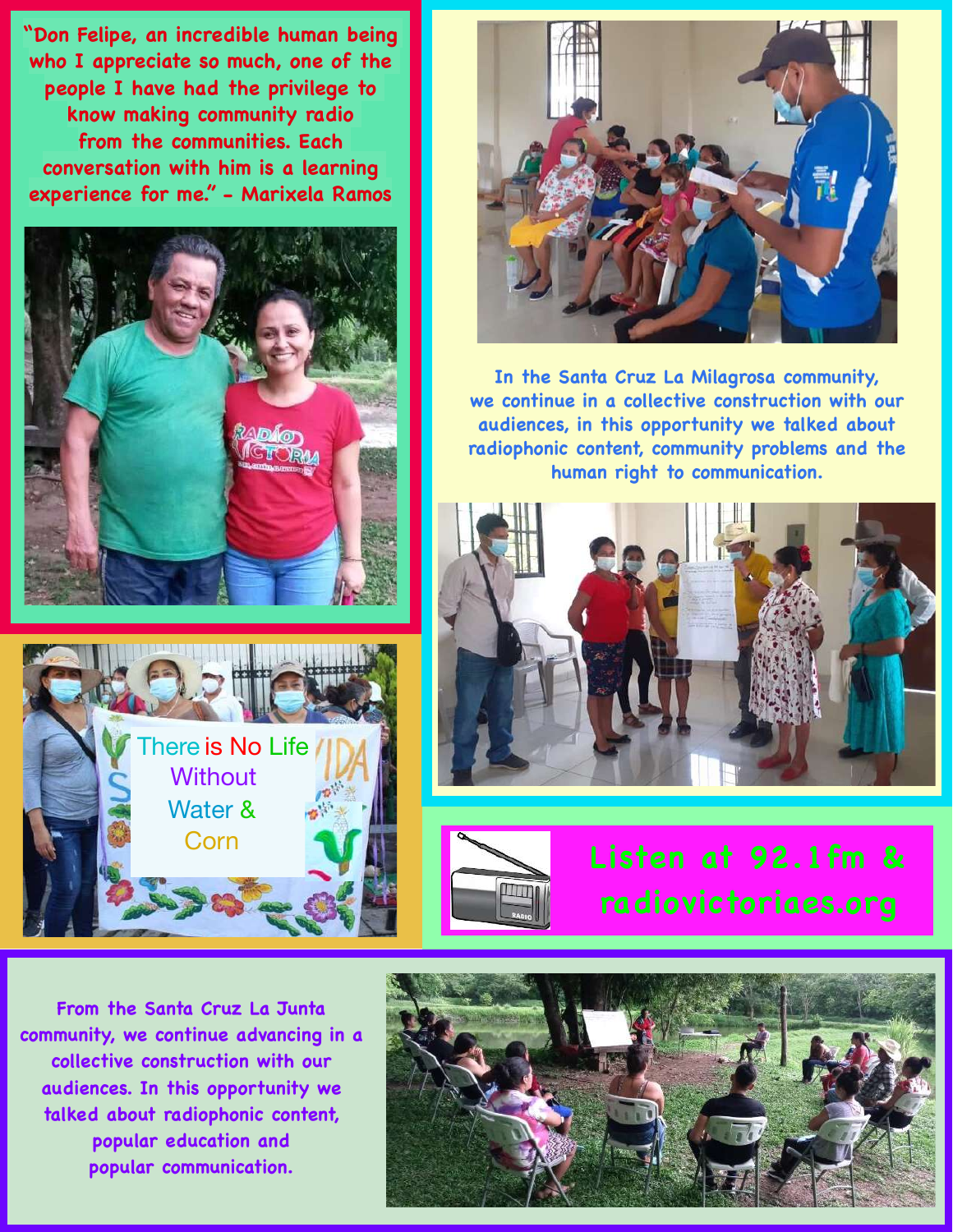**"Don Felipe, an incredible human being who I appreciate so much, one of the people I have had the privilege to know making community radio from the communities. Each conversation with him is a learning experience for me." - Marixela Ramos**







**In the Santa Cruz La Milagrosa community, we continue in a collective construction with our audiences, in this opportunity we talked about radiophonic content, community problems and the human right to communication.**





**radiovictoriaes.org**

**From the Santa Cruz La Junta community, we continue advancing in a collective construction with our audiences. In this opportunity we talked about radiophonic content, popular education and popular communication.**

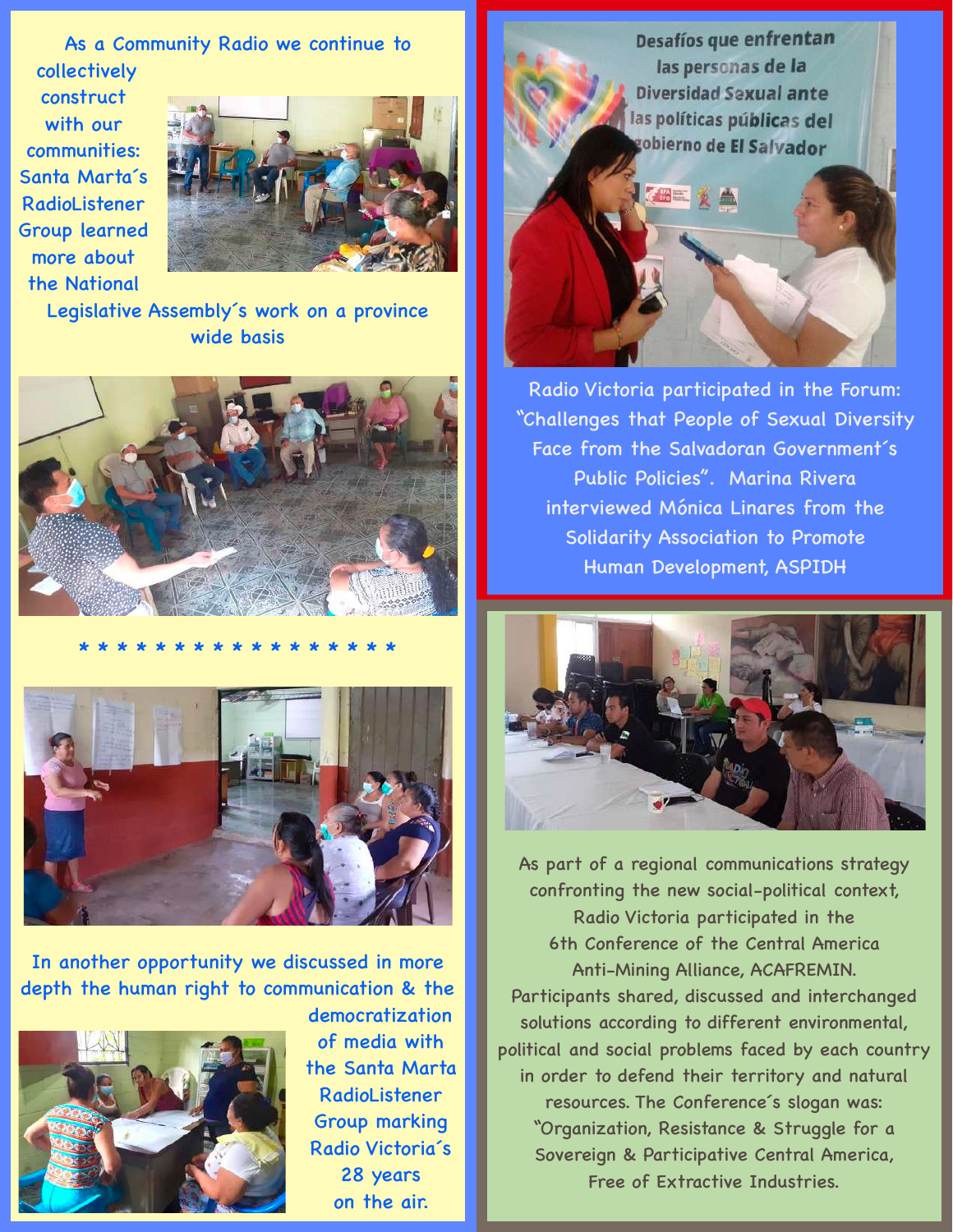As a Community Radio we continue to collectively construct with our communities: Santa Marta´s RadioListener Group learned more about the National



Legislative Assembly´s work on a province wide basis







In another opportunity we discussed in more depth the human right to communication & the democratization



of media with the Santa Marta RadioListener Group marking Radio Victoria´s 28 years on the air.



Radio Victoria participated in the Forum: "Challenges that People of Sexual Diversity Face from the Salvadoran Government´s Public Policies". Marina Rivera interviewed Mónica Linares from the Solidarity Association to Promote Human Development, ASPIDH



As part of a regional communications strategy confronting the new social-political context, Radio Victoria participated in the 6th Conference of the Central America Anti-Mining Alliance, ACAFREMIN. Participants shared, discussed and interchanged solutions according to different environmental, political and social problems faced by each country in order to defend their territory and natural resources. The Conference´s slogan was: "Organization, Resistance & Struggle for a Sovereign & Participative Central America, Free of Extractive Industries.